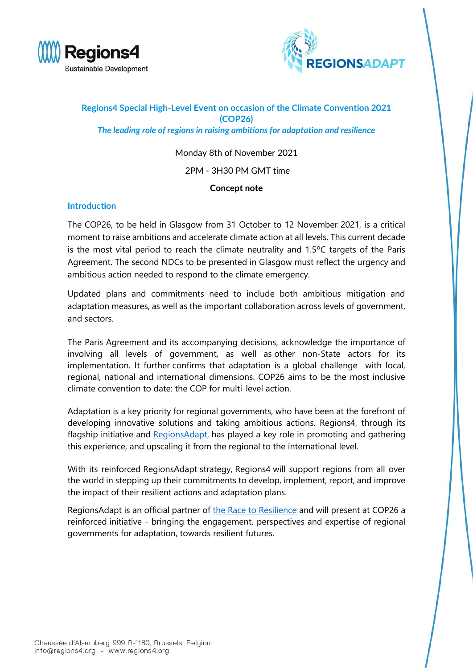



# **Regions4 Special High-Level Event on occasion of the Climate Convention 2021 (COP26)** *The leading role of regions in raising ambitions for adaptation and resilience*

Monday 8th of November 2021

## 2PM - 3H30 PM GMT time

### **Concept note**

### **Introduction**

The COP26, to be held in Glasgow from 31 October to 12 November 2021, is a critical moment to raise ambitions and accelerate climate action at all levels. This current decade is the most vital period to reach the climate neutrality and 1.5ºC targets of the Paris Agreement. The second NDCs to be presented in Glasgow must reflect the urgency and ambitious action needed to respond to the climate emergency.

Updated plans and commitments need to include both ambitious mitigation and adaptation measures, as well as the important collaboration across levels of government, and sectors.

The Paris Agreement and its accompanying decisions, acknowledge the importance of involving all levels of government, as well as other non-State actors for its implementation. It further confirms that adaptation is a global challenge with local, regional, national and international dimensions. COP26 aims to be the most inclusive climate convention to date: the COP for multi-level action.

Adaptation is a key priority for regional governments, who have been at the forefront of developing innovative solutions and taking ambitious actions. Regions4, through its flagship initiative and [RegionsAdapt,](https://www.regions4.org/project/regions-adapt/) has played a key role in promoting and gathering this experience, and upscaling it from the regional to the international level.

With its reinforced RegionsAdapt strategy, Regions4 will support regions from all over the world in stepping up their commitments to develop, implement, report, and improve the impact of their resilient actions and adaptation plans.

RegionsAdapt is an official partner of [the Race to Resilience](https://www.regions4.org/project/race-to-resilience-campaign/) and will present at COP26 a reinforced initiative - bringing the engagement, perspectives and expertise of regional governments for adaptation, towards resilient futures.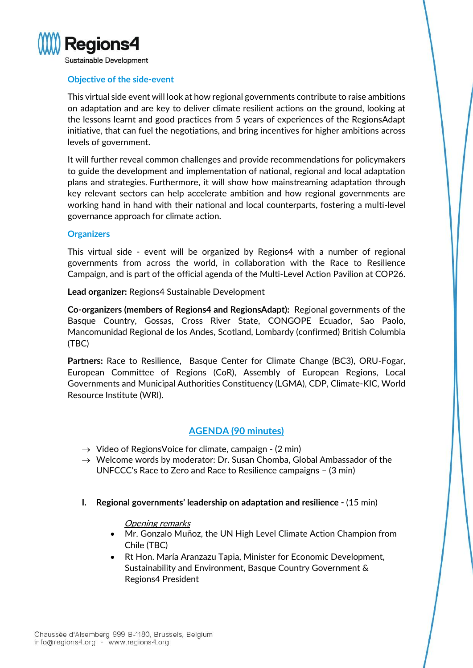

# **Objective of the side-event**

This virtual side event will look at how regional governments contribute to raise ambitions on adaptation and are key to deliver climate resilient actions on the ground, looking at the lessons learnt and good practices from 5 years of experiences of the RegionsAdapt initiative, that can fuel the negotiations, and bring incentives for higher ambitions across levels of government.

It will further reveal common challenges and provide recommendations for policymakers to guide the development and implementation of national, regional and local adaptation plans and strategies. Furthermore, it will show how mainstreaming adaptation through key relevant sectors can help accelerate ambition and how regional governments are working hand in hand with their national and local counterparts, fostering a multi-level governance approach for climate action.

#### **Organizers**

This virtual side - event will be organized by Regions4 with a number of regional governments from across the world, in collaboration with the Race to Resilience Campaign, and is part of the official agenda of the Multi-Level Action Pavilion at COP26.

**Lead organizer:** Regions4 Sustainable Development

**Co-organizers (members of Regions4 and RegionsAdapt):** Regional governments of the Basque Country, Gossas, Cross River State, CONGOPE Ecuador, Sao Paolo, Mancomunidad Regional de los Andes, Scotland, Lombardy (confirmed) British Columbia (TBC)

**Partners:** Race to Resilience, Basque Center for Climate Change (BC3), ORU-Fogar, European Committee of Regions (CoR), Assembly of European Regions, Local Governments and Municipal Authorities Constituency (LGMA), CDP, Climate-KIC, World Resource Institute (WRI).

# **AGENDA (90 minutes)**

- $\rightarrow$  Video of RegionsVoice for climate, campaign (2 min)
- $\rightarrow$  Welcome words by moderator: Dr. Susan Chomba, Global Ambassador of the UNFCCC's Race to Zero and Race to Resilience campaigns – (3 min)
- **I. Regional governments' leadership on adaptation and resilience -** (15 min)

### Opening remarks

- Mr. Gonzalo Muñoz, the UN High Level Climate Action Champion from Chile (TBC)
- Rt Hon. María Aranzazu Tapia, Minister for Economic Development, Sustainability and Environment, Basque Country Government & Regions4 President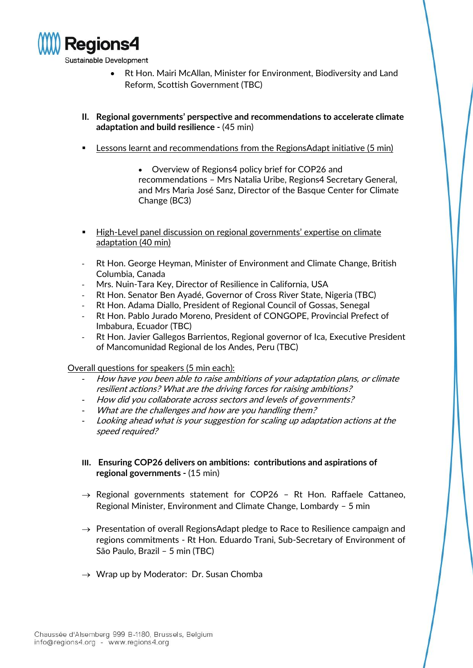

- Rt Hon. Mairi McAllan, Minister for Environment, Biodiversity and Land Reform, Scottish Government (TBC)
- **II. Regional governments' perspective and recommendations to accelerate climate adaptation and build resilience -** (45 min)
- Lessons learnt and recommendations from the RegionsAdapt initiative (5 min)
	- Overview of Regions4 policy brief for COP26 and recommendations – Mrs Natalia Uribe, Regions4 Secretary General, and Mrs Maria José Sanz, Director of the Basque Center for Climate Change (BC3)
- High-Level panel discussion on regional governments' expertise on climate adaptation (40 min)
- Rt Hon. George Heyman, Minister of Environment and Climate Change, British Columbia, Canada
- Mrs. Nuin-Tara Key, Director of Resilience in California, USA
- Rt Hon. Senator Ben Ayadé, Governor of Cross River State, Nigeria (TBC)
- Rt Hon. Adama Diallo, President of Regional Council of Gossas, Senegal
- Rt Hon. Pablo Jurado Moreno, President of CONGOPE, Provincial Prefect of Imbabura, Ecuador (TBC)
- Rt Hon. Javier Gallegos Barrientos, Regional governor of Ica, Executive President of Mancomunidad Regional de los Andes, Peru (TBC)

Overall questions for speakers (5 min each):

- How have you been able to raise ambitions of your adaptation plans, or climate resilient actions? What are the driving forces for raising ambitions?
- How did you collaborate across sectors and levels of governments?
- What are the challenges and how are you handling them?
- Looking ahead what is your suggestion for scaling up adaptation actions at the speed required?
- **III. Ensuring COP26 delivers on ambitions: contributions and aspirations of regional governments -** (15 min)
- $\rightarrow$  Regional governments statement for COP26 Rt Hon. Raffaele Cattaneo, Regional Minister, Environment and Climate Change, Lombardy – 5 min
- $\rightarrow$  Presentation of overall RegionsAdapt pledge to Race to Resilience campaign and regions commitments - Rt Hon. Eduardo Trani, Sub-Secretary of Environment of São Paulo, Brazil – 5 min (TBC)
- $\rightarrow$  Wrap up by Moderator: Dr. Susan Chomba